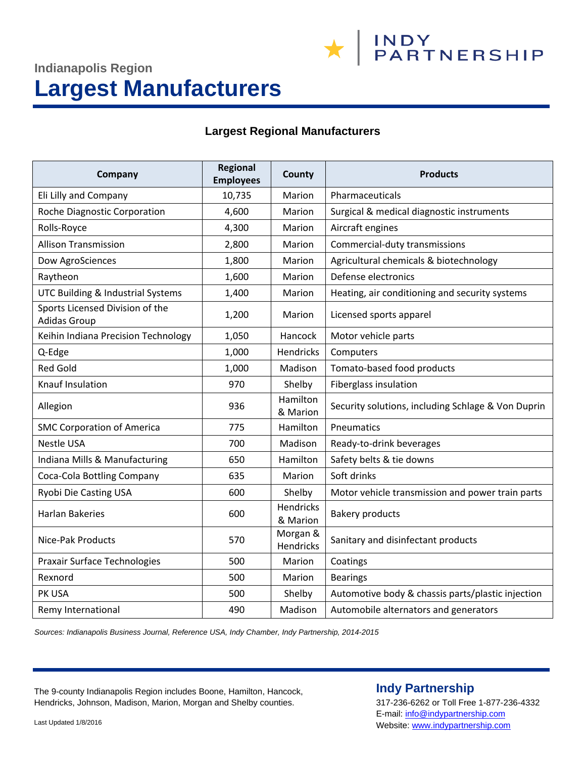**\*** NDY PARTNERSHIP

# **Indianapolis Region Largest Manufacturers**

#### **Largest Regional Manufacturers**

| Company                                                | <b>Regional</b><br><b>Employees</b> | County                | <b>Products</b>                                    |
|--------------------------------------------------------|-------------------------------------|-----------------------|----------------------------------------------------|
| Eli Lilly and Company                                  | 10,735                              | Marion                | Pharmaceuticals                                    |
| Roche Diagnostic Corporation                           | 4,600                               | Marion                | Surgical & medical diagnostic instruments          |
| Rolls-Royce                                            | 4,300                               | Marion                | Aircraft engines                                   |
| <b>Allison Transmission</b>                            | 2,800                               | Marion                | Commercial-duty transmissions                      |
| Dow AgroSciences                                       | 1,800                               | Marion                | Agricultural chemicals & biotechnology             |
| Raytheon                                               | 1,600                               | Marion                | Defense electronics                                |
| UTC Building & Industrial Systems                      | 1,400                               | Marion                | Heating, air conditioning and security systems     |
| Sports Licensed Division of the<br><b>Adidas Group</b> | 1,200                               | Marion                | Licensed sports apparel                            |
| Keihin Indiana Precision Technology                    | 1,050                               | Hancock               | Motor vehicle parts                                |
| Q-Edge                                                 | 1,000                               | Hendricks             | Computers                                          |
| <b>Red Gold</b>                                        | 1,000                               | Madison               | Tomato-based food products                         |
| Knauf Insulation                                       | 970                                 | Shelby                | Fiberglass insulation                              |
| Allegion                                               | 936                                 | Hamilton<br>& Marion  | Security solutions, including Schlage & Von Duprin |
| <b>SMC Corporation of America</b>                      | 775                                 | Hamilton              | Pneumatics                                         |
| <b>Nestle USA</b>                                      | 700                                 | Madison               | Ready-to-drink beverages                           |
| Indiana Mills & Manufacturing                          | 650                                 | Hamilton              | Safety belts & tie downs                           |
| Coca-Cola Bottling Company                             | 635                                 | Marion                | Soft drinks                                        |
| Ryobi Die Casting USA                                  | 600                                 | Shelby                | Motor vehicle transmission and power train parts   |
| <b>Harlan Bakeries</b>                                 | 600                                 | Hendricks<br>& Marion | <b>Bakery products</b>                             |
| Nice-Pak Products                                      | 570                                 | Morgan &<br>Hendricks | Sanitary and disinfectant products                 |
| Praxair Surface Technologies                           | 500                                 | Marion                | Coatings                                           |
| Rexnord                                                | 500                                 | Marion                | <b>Bearings</b>                                    |
| PK USA                                                 | 500                                 | Shelby                | Automotive body & chassis parts/plastic injection  |
| Remy International                                     | 490                                 | Madison               | Automobile alternators and generators              |

*Sources: Indianapolis Business Journal, Reference USA, Indy Chamber, Indy Partnership, 2014-2015*

The 9-county Indianapolis Region includes Boone, Hamilton, Hancock, Hendricks, Johnson, Madison, Marion, Morgan and Shelby counties.

## **Indy Partnership**

317-236-6262 or Toll Free 1-877-236-4332 E-mail[: info@indypartnership.com](mailto:info@indypartnership.com) Website[: www.indypartnership.com](http://www.indypartnership.com/)